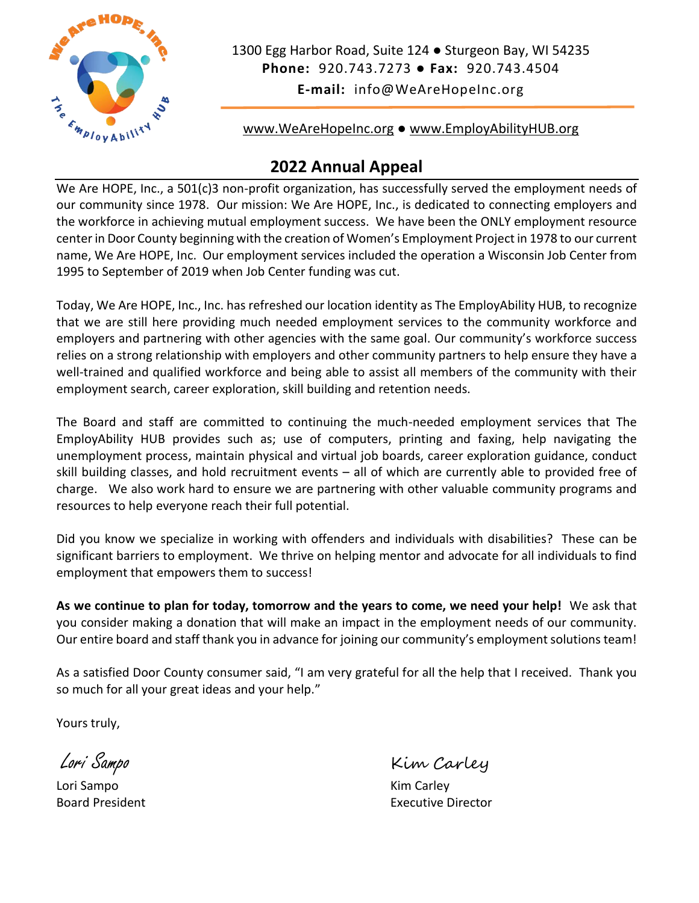

1300 Egg Harbor Road, Suite 124 ● Sturgeon Bay, WI 54235 **Phone:** 920.743.7273 ● **Fax:** 920.743.4504 **E-mail:** info@WeAreHopeInc.org

[www.WeAreHopeInc.org](http://www.wearehopeinc.org/) ● [www.EmployAbilityHUB.org](http://www.employabilityhub.org/)

## **2022 Annual Appeal**

We Are HOPE, Inc., a 501(c)3 non-profit organization, has successfully served the employment needs of our community since 1978. Our mission: We Are HOPE, Inc., is dedicated to connecting employers and the workforce in achieving mutual employment success. We have been the ONLY employment resource center in Door County beginning with the creation of Women's Employment Project in 1978 to our current name, We Are HOPE, Inc. Our employment services included the operation a Wisconsin Job Center from 1995 to September of 2019 when Job Center funding was cut.

Today, We Are HOPE, Inc., Inc. has refreshed our location identity as The EmployAbility HUB, to recognize that we are still here providing much needed employment services to the community workforce and employers and partnering with other agencies with the same goal. Our community's workforce success relies on a strong relationship with employers and other community partners to help ensure they have a well-trained and qualified workforce and being able to assist all members of the community with their employment search, career exploration, skill building and retention needs.

The Board and staff are committed to continuing the much-needed employment services that The EmployAbility HUB provides such as; use of computers, printing and faxing, help navigating the unemployment process, maintain physical and virtual job boards, career exploration guidance, conduct skill building classes, and hold recruitment events – all of which are currently able to provided free of charge. We also work hard to ensure we are partnering with other valuable community programs and resources to help everyone reach their full potential.

Did you know we specialize in working with offenders and individuals with disabilities? These can be significant barriers to employment. We thrive on helping mentor and advocate for all individuals to find employment that empowers them to success!

**As we continue to plan for today, tomorrow and the years to come, we need your help!** We ask that you consider making a donation that will make an impact in the employment needs of our community. Our entire board and staff thank you in advance for joining our community's employment solutions team!

As a satisfied Door County consumer said, "I am very grateful for all the help that I received. Thank you so much for all your great ideas and your help."

Yours truly,

Lori Sampo Kim Carley

Lori Sampo Kim Carley

Board President **Executive Director**